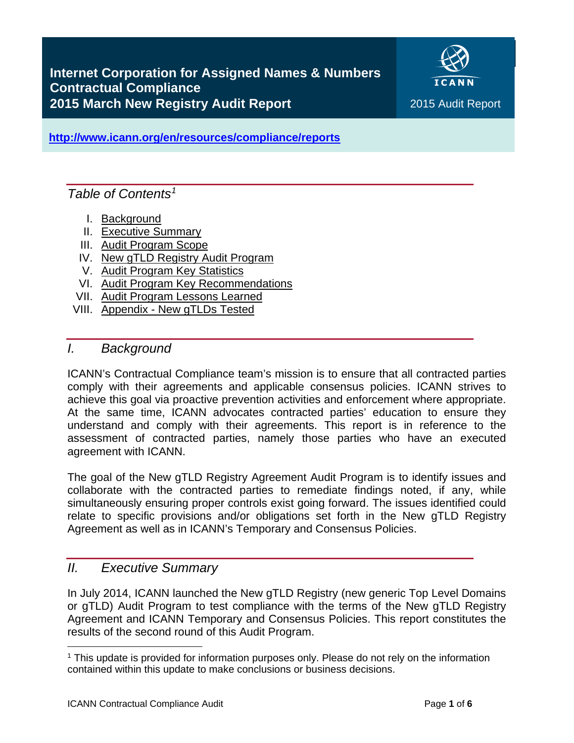

**<http://www.icann.org/en/resources/compliance/reports>**

## *Table of Contents[1](#page-0-2)*

- I. [Background](#page-0-0)
- II. [Executive Summary](#page-0-1)
- III. [Audit Program Scope](#page-1-0)
- IV. [New gTLD Registry](#page-2-0) Audit Program
- V. [Audit Program Key Statistics](#page-4-0)
- VI. [Audit Program Key Recommendations](#page-5-0)
- VII. [Audit Program Lessons Learned](#page-5-1)
- <span id="page-0-0"></span>VIII. Appendix - [New gTLDs](#page-5-1) Tested

#### *I. Background*

ICANN's Contractual Compliance team's mission is to ensure that all contracted parties comply with their agreements and applicable consensus policies. ICANN strives to achieve this goal via proactive prevention activities and enforcement where appropriate. At the same time, ICANN advocates contracted parties' education to ensure they understand and comply with their agreements. This report is in reference to the assessment of contracted parties, namely those parties who have an executed agreement with ICANN.

The goal of the New gTLD Registry Agreement Audit Program is to identify issues and collaborate with the contracted parties to remediate findings noted, if any, while simultaneously ensuring proper controls exist going forward. The issues identified could relate to specific provisions and/or obligations set forth in the New gTLD Registry Agreement as well as in ICANN's Temporary and Consensus Policies.

## <span id="page-0-1"></span>*II. Executive Summary*

In July 2014, ICANN launched the New gTLD Registry (new generic Top Level Domains or gTLD) Audit Program to test compliance with the terms of the New gTLD Registry Agreement and ICANN Temporary and Consensus Policies. This report constitutes the results of the second round of this Audit Program.

<span id="page-0-2"></span><sup>1</sup> This update is provided for information purposes only. Please do not rely on the information contained within this update to make conclusions or business decisions.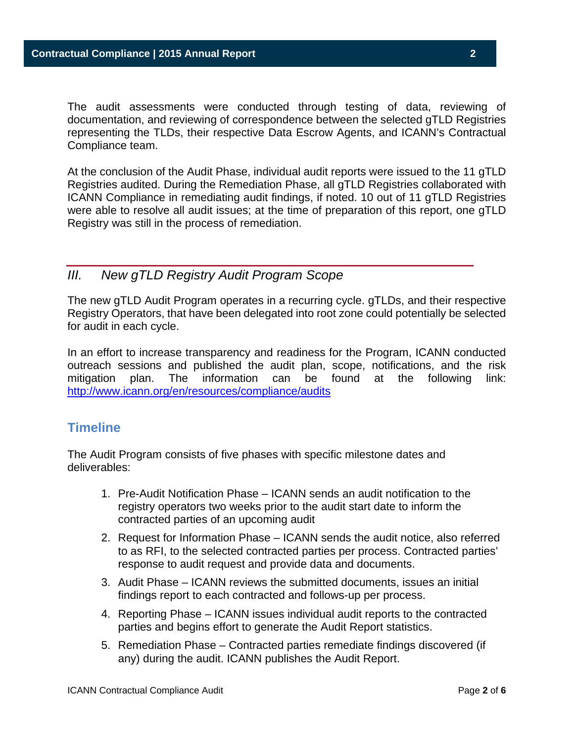The audit assessments were conducted through testing of data, reviewing of documentation, and reviewing of correspondence between the selected gTLD Registries representing the TLDs, their respective Data Escrow Agents, and ICANN's Contractual Compliance team.

At the conclusion of the Audit Phase, individual audit reports were issued to the 11 gTLD Registries audited. During the Remediation Phase, all gTLD Registries collaborated with ICANN Compliance in remediating audit findings, if noted. 10 out of 11 gTLD Registries were able to resolve all audit issues; at the time of preparation of this report, one gTLD Registry was still in the process of remediation.

## <span id="page-1-0"></span>*III. New gTLD Registry Audit Program Scope*

The new gTLD Audit Program operates in a recurring cycle. gTLDs, and their respective Registry Operators, that have been delegated into root zone could potentially be selected for audit in each cycle.

In an effort to increase transparency and readiness for the Program, ICANN conducted outreach sessions and published the audit plan, scope, notifications, and the risk mitigation plan. The information can be found at the following link: <http://www.icann.org/en/resources/compliance/audits>

## **Timeline**

The Audit Program consists of five phases with specific milestone dates and deliverables:

- 1. Pre-Audit Notification Phase ICANN sends an audit notification to the registry operators two weeks prior to the audit start date to inform the contracted parties of an upcoming audit
- 2. Request for Information Phase ICANN sends the audit notice, also referred to as RFI, to the selected contracted parties per process. Contracted parties' response to audit request and provide data and documents.
- 3. Audit Phase ICANN reviews the submitted documents, issues an initial findings report to each contracted and follows-up per process.
- 4. Reporting Phase ICANN issues individual audit reports to the contracted parties and begins effort to generate the Audit Report statistics.
- 5. Remediation Phase Contracted parties remediate findings discovered (if any) during the audit. ICANN publishes the Audit Report.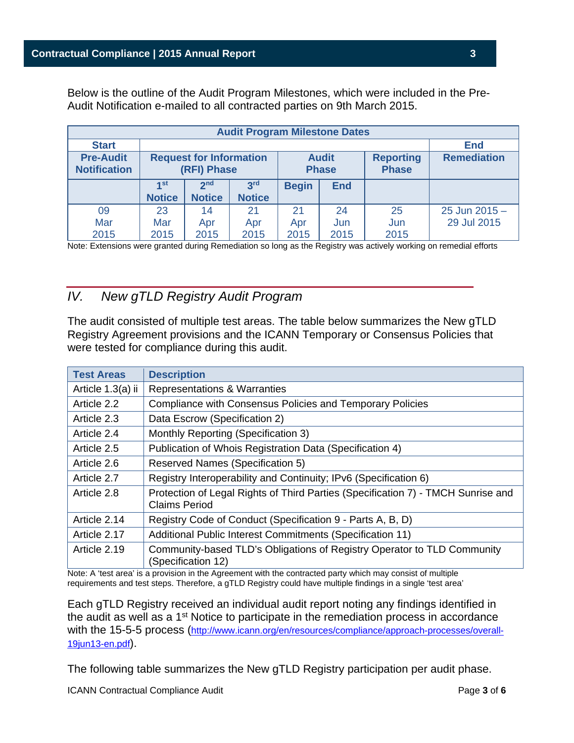Below is the outline of the Audit Program Milestones, which were included in the Pre-Audit Notification e-mailed to all contracted parties on 9th March 2015.

| <b>Audit Program Milestone Dates</b>    |                                               |                 |                              |              |                                  |                    |               |
|-----------------------------------------|-----------------------------------------------|-----------------|------------------------------|--------------|----------------------------------|--------------------|---------------|
| <b>Start</b>                            |                                               | <b>End</b>      |                              |              |                                  |                    |               |
| <b>Pre-Audit</b><br><b>Notification</b> | <b>Request for Information</b><br>(RFI) Phase |                 | <b>Audit</b><br><b>Phase</b> |              | <b>Reporting</b><br><b>Phase</b> | <b>Remediation</b> |               |
|                                         | 4 <sub>st</sub>                               | 2 <sub>nd</sub> | 3 <sup>rd</sup>              | <b>Begin</b> | <b>End</b>                       |                    |               |
|                                         | <b>Notice</b>                                 | <b>Notice</b>   | <b>Notice</b>                |              |                                  |                    |               |
| 09                                      | 23                                            | 14              | 21                           | 21           | 24                               | 25                 | 25 Jun 2015 - |
| Mar                                     | Mar                                           | Apr             | Apr                          | Apr          | Jun                              | Jun                | 29 Jul 2015   |
| 2015                                    | 2015                                          | 2015            | 2015                         | 2015         | 2015                             | 2015               |               |

<span id="page-2-0"></span>Note: Extensions were granted during Remediation so long as the Registry was actively working on remedial efforts

#### *IV. New gTLD Registry Audit Program*

The audit consisted of multiple test areas. The table below summarizes the New gTLD Registry Agreement provisions and the ICANN Temporary or Consensus Policies that were tested for compliance during this audit.

| <b>Test Areas</b> | <b>Description</b>                                                                                       |  |
|-------------------|----------------------------------------------------------------------------------------------------------|--|
| Article 1.3(a) ii | Representations & Warranties                                                                             |  |
| Article 2.2       | Compliance with Consensus Policies and Temporary Policies                                                |  |
| Article 2.3       | Data Escrow (Specification 2)                                                                            |  |
| Article 2.4       | Monthly Reporting (Specification 3)                                                                      |  |
| Article 2.5       | Publication of Whois Registration Data (Specification 4)                                                 |  |
| Article 2.6       | <b>Reserved Names (Specification 5)</b>                                                                  |  |
| Article 2.7       | Registry Interoperability and Continuity; IPv6 (Specification 6)                                         |  |
| Article 2.8       | Protection of Legal Rights of Third Parties (Specification 7) - TMCH Sunrise and<br><b>Claims Period</b> |  |
| Article 2.14      | Registry Code of Conduct (Specification 9 - Parts A, B, D)                                               |  |
| Article 2.17      | Additional Public Interest Commitments (Specification 11)                                                |  |
| Article 2.19      | Community-based TLD's Obligations of Registry Operator to TLD Community<br>(Specification 12)            |  |

Note: A 'test area' is a provision in the Agreement with the contracted party which may consist of multiple requirements and test steps. Therefore, a gTLD Registry could have multiple findings in a single 'test area'

Each gTLD Registry received an individual audit report noting any findings identified in the audit as well as a 1<sup>st</sup> Notice to participate in the remediation process in accordance with the 15-5-5 process [\(http://www.icann.org/en/resources/compliance/approach-processes/overall-](http://www.icann.org/en/resources/compliance/approach-processes/overall-19jun13-en.pdf)[19jun13-en.pdf\)](http://www.icann.org/en/resources/compliance/approach-processes/overall-19jun13-en.pdf).

The following table summarizes the New gTLD Registry participation per audit phase.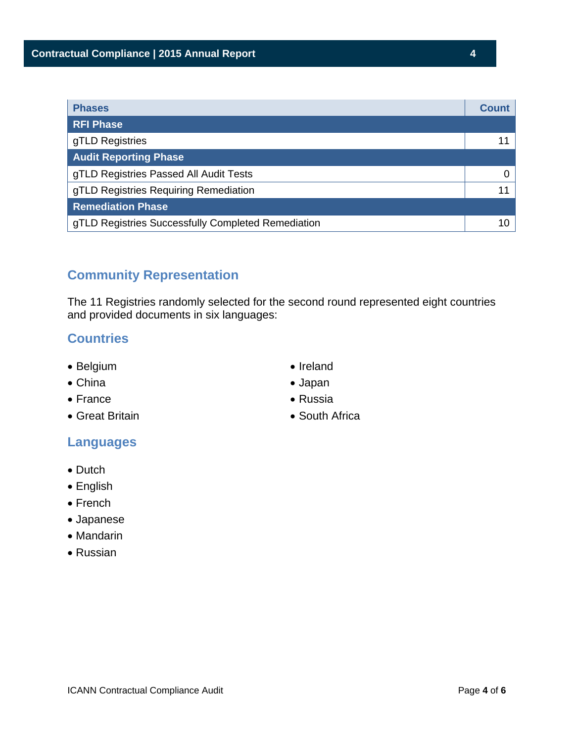| <b>Phases</b>                                      | <b>Count</b> |
|----------------------------------------------------|--------------|
| <b>RFI Phase</b>                                   |              |
| gTLD Registries                                    |              |
| <b>Audit Reporting Phase</b>                       |              |
| gTLD Registries Passed All Audit Tests             |              |
| gTLD Registries Requiring Remediation              |              |
| <b>Remediation Phase</b>                           |              |
| gTLD Registries Successfully Completed Remediation |              |

## **Community Representation**

The 11 Registries randomly selected for the second round represented eight countries and provided documents in six languages:

#### **Countries**

- Belgium
- China
- France
- Great Britain
- Ireland • Japan
- Russia
- South Africa

## **Languages**

- Dutch
- English
- French
- Japanese
- Mandarin
- Russian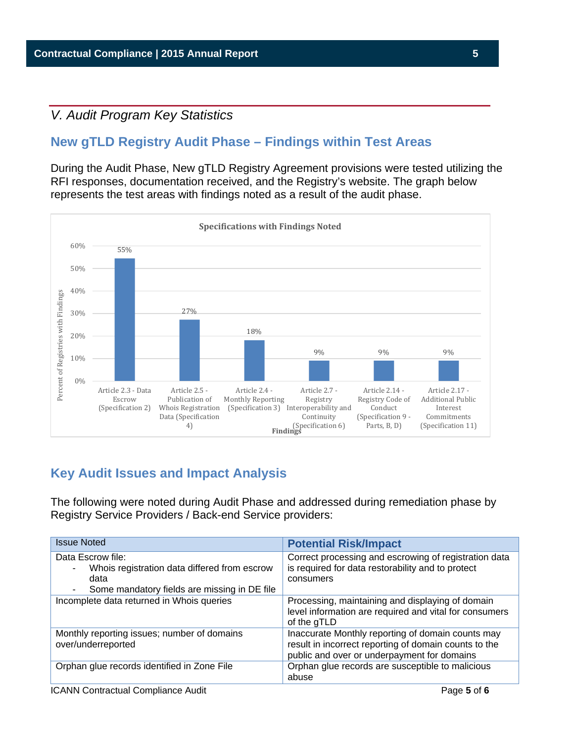## <span id="page-4-0"></span>*V. Audit Program Key Statistics*

## **New gTLD Registry Audit Phase – Findings within Test Areas**

During the Audit Phase, New gTLD Registry Agreement provisions were tested utilizing the RFI responses, documentation received, and the Registry's website. The graph below represents the test areas with findings noted as a result of the audit phase.



## **Key Audit Issues and Impact Analysis**

The following were noted during Audit Phase and addressed during remediation phase by Registry Service Providers / Back-end Service providers:

| <b>Issue Noted</b>                                                                                                        | <b>Potential Risk/Impact</b>                                                                                                                              |
|---------------------------------------------------------------------------------------------------------------------------|-----------------------------------------------------------------------------------------------------------------------------------------------------------|
| Data Escrow file:<br>Whois registration data differed from escrow<br>data<br>Some mandatory fields are missing in DE file | Correct processing and escrowing of registration data<br>is required for data restorability and to protect<br>consumers                                   |
| Incomplete data returned in Whois queries                                                                                 | Processing, maintaining and displaying of domain<br>level information are required and vital for consumers<br>of the gTLD                                 |
| Monthly reporting issues; number of domains<br>over/underreported                                                         | Inaccurate Monthly reporting of domain counts may<br>result in incorrect reporting of domain counts to the<br>public and over or underpayment for domains |
| Orphan glue records identified in Zone File                                                                               | Orphan glue records are susceptible to malicious<br>abuse                                                                                                 |